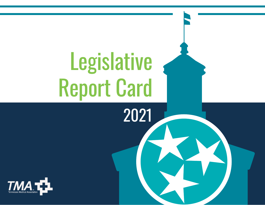# Legislative Report Card

2021

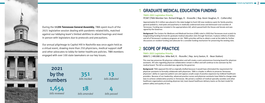

During the **112th Tennessee General Assembly**, TMA spent much of the 2021 legislative session dealing with pandemic-related bills, matched against our lobbying team's limited abilities to attend hearings and meet in person with legislators due to protocols and precautions.

Our annual pilgrimage to Capitol Hill in Nashville was once again held as a virtual event, drawing more than 250 physicians, medical support staff and other advocates to lobby for better healthcare policies. TMA members engaged with over 100 state lawmakers on our key issues.

2

351 bills tracked

18 bills amended



### **TMA's 2021 Legislative Priority**

SB0671 | HB1080 (Sen. Mike Bell, R. - Riceville | Rep. Jerry Sexton, R. - Bean Station)

This new law preserves PA-physician collaboration and will create a semi-autonomous licensing board for physician assistants. All rules regarding physician collaboration remain in effect and will continue to be overseen by the medical board. The bill as amended was signed by the governor.

1,654 bills reviewed 2021 by the numbers

**Background:** TMA opposed this bill as originally drafted because it would have eliminated the requirement for physician assistants to formally collaborate with physicians. TMA is a leader in efforts to preserve Tennessee physicians' ability to supervise patient care and oppose unsafe scope of practice expansion by midlevel healthcare providers. Because of our leadership, advanced practice nurses and physician assistants have failed to change state laws to achieve collaborative practice in Tennessee. We joined a coalition of medical specialty societies and other healthcare organizations promoting physician-led, team-based healthcare delivery teams as the best model for patient safety and quality of care.

## 2 **SCOPE OF PRACTICE**



### **TMA's 2021 Legislative Priority**

PC587 (TMA Member Sen. Richard Briggs, R. - Knoxville | Rep. Kevin Vaughan, R. - Collierville)

Approximately \$5.5 million was placed in the state budget to fund 130 new residency spots for family practice, general pediatrics, med-peds and psychiatry in medically underserved areas and distressed rural counties of Tennessee. Funding was included in the appropriations bill, which passed both the House and Senate and was signed by the Governor.

**Background:** The Centers for Medicare and Medicaid Services (CMS) ruled in 2020 that Tennessee must scratch its longstanding funding formula for graduate medical education slots through TennCare. It places millions of dollars and all of Tennessee's residency programs at risk. TMA's priorities will be to obtain a seat at the table for further discussions on resident funding and advocate for a sensible funding mechanism for preserving the existing slots.

## 1 **GRADUATE MEDICAL EDUCATION FUNDING**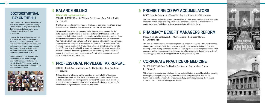SB884 | HB519 (Sen. John Stevens, R. - Huntingdon | Rep. Ron Gant, R - Rossville)

TMA continues to advocate for the reduction or removal of the Tennessee professional privilege tax. The General Assembly exempted some professions in 2019, but doctors are still required to pay the \$400 annual tax. It is unfair to impose the tax on physicians when other health professionals are exempt. We will continue to fight to repeal the tax for physicians.

PC405 (Sen. Art Swann, R. - Maryville | Rep. Iris Rudder, R. – Winchester)

This new law requires health insurance companies to count any co-pay assistance program's share of a patient's cost of a drug towards the patient's deductible or maximum out of pocket expenses. This bill was actively supported and lobbied by TMA.

PC569 (Sen. Shane Reeves, R. - Murfreesboro | Rep. Ester Helton, R. - Chattanooga)

## **PROFESSIONAL PRIVILEGE TAX REPEAL CORPORATE PRACTICE OF MEDICINE** <sup>4</sup>

The new law addresses five problematic pharmacy benefit managers (PBMs) practices that directly harm patients: 340B discrimination, specialty pharmacy discrimination, patient steering, spread pricing and rebate retention. This is a patient consumer protection law that addresses multiple issues regarding pharmacy benefits managers, including the practice of "white bagging." This bill was supported and actively lobbied by TMA.

## **PHARMACY BENEFIT MANAGERS REFORM**

SB1568 | HB1355 (Sen. Paul Bailey, R. - Sparta | Rep. Michael Curcio,

R. - Dickson)

This bill, as amended, would eliminate the current prohibition in law of hospitals employing radiologists, emergency physicians, anesthesiologists and pathologists. The Senate Commerce Committee referred it to a summer study committee, meaning the measure is dead for 2021. TMA actively opposed this bill.



## 6

## 7

## **5 PROHIBITING CO-PAY ACCUMULATORS**

TMA's annual policy briefing and lobby day in Nashville connects physicians directly with lawmakers so they can advocate for their patients and discuss major issues affecting the medical profession in Tennessee.

This year the General Assembly declined large, in-person group lobbying events due to the COVID-19 pandemic. So TMA visited lawmakers virtually via Zoom video conferencing with small group breakout discussions. Our typical all-day event shrunk to a dynamic 60 minutes. This event was held on March 3, 2021.

While the online format was new, the overall concept and inner workings remained the same. Invitations were extended to all 133 legislators, and over 300 physicians attended online to address healthcare-related issues.



## **DOCTORS' VIRTUAL DAY ON THE HILL TMA's 2021 Legislative Priority**

SB0001 | HB0002 (Sen. Bo Watson, R. - Hixson | Rep. Robin Smith, R. - Hixson)

The House planned a summer study of this issue to determine the effects of the federal balance billing law. The Senate postponed the bill until 2022.

**Background:** This bill would have ensured a balance billing solution for the state-regulated health insurance market in state law. TMA leads a coalition of hospital-based physician specialty organizations working to protect patients from narrow networks created by health insurance companies. Sen. Bo Watson and Rep. Robin Smith offered a physician-friendly balance billing solution which would require patients to only pay according to their in-network responsibility if they receive a surprise medical bill. It would also allow out-of-network physicians to pursue fair payment from health insurance companies through an independent arbitration process if the initial payment was unsatisfactory. Their bill would incentivize health insurance companies to offer fair initial payments to out-ofnetwork hospital-based physicians.

## 3 **BALANCE BILLING**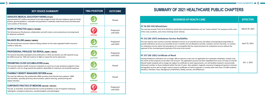| <b>KEY ISSUES SUMMARY</b>                                                                                                                                                                                                                                                                         | <b>TMA POSITION</b> | <b>OUTCOME</b>          |
|---------------------------------------------------------------------------------------------------------------------------------------------------------------------------------------------------------------------------------------------------------------------------------------------------|---------------------|-------------------------|
| <b>GRADUATE MEDICAL EDUCATION FUNDING (PC587)</b><br>Approximately \$5.5 million was placed in the state budget to fund 130 new residency spots for family<br>practice, general pediatrics, med-peds and psychiatry in medically underserved areas and distressed<br>rural counties of Tennessee. | <b>SUPPORT</b>      | Passed                  |
| SCOPE OF PRACTICE (SB0671/HB1080)<br>This bill preserves PA-physician collaboration and will create a semi-autonomous licensing board<br>for physician assistants.                                                                                                                                | <b>OPPOSE</b>       | Postponed<br>until 2022 |
| <b>BALANCE BILLING (SB0001/HB0002)</b><br>This bill would have ensured a balance billing solution for the state-regulated health insurance<br>market in state law.                                                                                                                                | <b>SUPPORT</b>      | Postponed<br>until 2022 |
| PROFESSIONAL PRIVILEGE TAX REPEAL (SB884   HB519)<br>The General Assembly exempted some professions in 2019, but doctors are still required to pay<br>the \$400 annual tax. TMA will continue to fight to repeal the tax for physicians.                                                          | <b>SUPPORT</b>      | Postponed<br>until 2022 |
| <b>PROHIBITING CO-PAY ACCUMULATORS (PC405)</b><br>This new law requires health insurance companies to count any co-pay assistance program's share<br>of a patient's cost of a drug towards the patient's deductible or maximum out-of-pocket expenses.                                            | <b>SUPPORT</b>      | Passed                  |
| <b>PHARMACY BENEFIT MANAGERS REFORM (PC569)</b><br>The new law addresses five problematic PBMs practices that directly harm patients: 340B<br>discrimination, specialty pharmacy discrimination, patient steering, spread pricing and<br>rebate retention.                                        | <b>SUPPORT</b>      | Passed                  |
| <b>CORPORATE PRACTICE OF MEDICINE (SB1568   HB1355)</b><br>This bill, as amended, would eliminate the current prohibition in law of hospitals employing<br>radiologists, emergency physicians, anesthesiologists and pathologists.                                                                | <b>OPPOSE</b>       | Postponed<br>until 2022 |

## **PC 56 (SB**

of the road, and

### **PC 212 (SB**

This law reques provide ambulance service and allows municipal government  $\int$  provide ambulance  $\int$ approval of the

### **PC 557 (SB**

Existing healt the merits of the merits of  $\vert$  tomography services  $\vert$  Davidson, Har

| <b>BUSINESS OF HEALTH CARE</b>                                                                                                                                                                                                                                                                                                                                                                                                                                                                                                                                                                                                                                                                                                                                                                                    | <b>EFFECTIVE</b> |
|-------------------------------------------------------------------------------------------------------------------------------------------------------------------------------------------------------------------------------------------------------------------------------------------------------------------------------------------------------------------------------------------------------------------------------------------------------------------------------------------------------------------------------------------------------------------------------------------------------------------------------------------------------------------------------------------------------------------------------------------------------------------------------------------------------------------|------------------|
| PC 56 (SB 154) Wheelchairs<br>The new law amends TCA $\S$ 55-8-101(41) to clarify that motorized wheelchairs are not "motor vehicles" for purposes of the rules<br>of the road, accidents, and crimes involving motor vehicles.                                                                                                                                                                                                                                                                                                                                                                                                                                                                                                                                                                                   | March 29, 2021   |
| PC 212 (SB 1597) Ambulance Service Availability<br>This law requires each county to provide ambulance service as an essential service and allows municipal governing bodies to<br>provide ambulance service as an essential service. Counties are not allowed to provide, maintain, license, franchise, or contract<br>for ambulance service within the boundaries of a municipality that has made provisions for ambulance service without the<br>approval of the municipal governing body of the area to be served.                                                                                                                                                                                                                                                                                             | April 22, 2021   |
| PC 557 (SB 1281) Certificate of Need<br>Existing healthcare institutions are no longer able to exercise a veto over an application by a potential competitor. Instead, only<br>the merits of the proposal can be taken into account. The application process has been expedited from up to 135 days to only 60.<br>Mental health hospitals will no longer be subject to certificate of need requirements, nor will facilities located in economically<br>distressed counties or those shuttered within the last 15 years. Non-pediatric magnetic resonance imaging and positron emission<br>tomography services will no longer need to acquire certificates of need to operate in counties with more than 175,000 residents:<br>Davidson, Hamilton, Knox, Montgomery, Rutherford, Shelby, Sumner, and Williamson. | Oct. 1, 2021     |

## **SUMMARY OF 2021 HEALTHCARE PUBLIC CHAPTERS**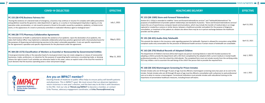| July 1, 2021<br>May 6, 2021<br>May 11, 2021 | <b>COVID-19 (SELECTED)</b>                                                                                                                                                                                                                                                                                                                                                                                                                                                                                                                                                                 | <b>EFFECTIVE</b> |
|---------------------------------------------|--------------------------------------------------------------------------------------------------------------------------------------------------------------------------------------------------------------------------------------------------------------------------------------------------------------------------------------------------------------------------------------------------------------------------------------------------------------------------------------------------------------------------------------------------------------------------------------------|------------------|
|                                             | PC 155 (SB 474) Business Fairness Act<br>"During the existence of a declared state of emergency, a business may continue or resume if it complies with safety precautions<br>and guidelines issued by the governor, state department or agency, or a county or municipal governing body or agency, or any<br>executive order, proclamation, or rule issued to prevent a threat to the public caused by a pandemic, epidemic, or bioterrorism<br>event, or the appearance of a novel or previously controlled or eradicated infectious agent or biological toxin."                          |                  |
|                                             | PC 346 (SB 777) Pharmacy Collaborative Agreements<br>The Commissioner of Health is authorized to declare the existence of an epidemic. Upon the declaration of an epidemic, the<br>state chief medical officer may implement a statewide collaborative pharmacy practice agreement with a licensed pharmacist for<br>the purposes of dispensing and administering vaccines to the state's vulnerable population. It sets out specific requirements<br>for the agreement's operation and specific requirements for the pharmacist under the agreement.                                      |                  |
|                                             | PC 384 (SB 1573) Classification of Workers as Essential or Nonessential by Governmental Entities<br>A local governmental entity or the executive head of a local government may not create categories or classes of nonessential<br>businesses, trades, professions, or industries for the purpose of suspending lawful commerce, encumbering trade, or denying<br>citizens the right to work if such activities are otherwise lawful in this state, unless an explicit order of the local fire marshal or<br>court declares that the business operating poses a clear and present danger. |                  |



| <b>HEALTHCARE DELIVERY</b>                                                                                                                                                                                                                                                                                                                                                                                                                                                                                                                                                                                                                                                                                                         | <b>EFFECTIVE</b> |
|------------------------------------------------------------------------------------------------------------------------------------------------------------------------------------------------------------------------------------------------------------------------------------------------------------------------------------------------------------------------------------------------------------------------------------------------------------------------------------------------------------------------------------------------------------------------------------------------------------------------------------------------------------------------------------------------------------------------------------|------------------|
| PC 153 (SB 1589) Store-and-Forward Telemedicine<br>Section 63-1-155(a) is amended to redefine "store-and-forward telemedicine services" and "telehealth/telemedicine" for<br>purposes of establishment of provider-patient relationships and standards of practice. "Store-and-forward telemedicine services"<br>means the use of asynchronous computer-based communications, which may include the transfer of medical data in an image<br>captured or created by a camera or similar device, between a healthcare provider and patient for the purpose of diagnosis,<br>consultation, or treatment of the patient at a distant site where there may be no in-person exchange between the healthcare<br>provider and the patient. | April 13, 2021   |
| PC 191 (SB 425) Audio-Only Telehealth<br>This amends the statute in the insurance code regarding payment for telehealth. Payment is allowed for encounters using HIPAA<br>compliant audio-only conversation for the provision of behavioral health services if certain means of telehealth are unavailable.                                                                                                                                                                                                                                                                                                                                                                                                                        | April 22, 2021   |
| PC 163 (SB 270) Medical Records of Adopted Children<br>The Department of Children's Services (DCS) shall require any person receiving federal or state DCS-funded assistance for<br>adopting a child to provide the department with a DCS form completed by the adopted child's current medical or mental health<br>professional provider or from the school the child attends. The completed form must not include records from the verifying entity.<br>DCS may initiate a visit to ascertain the well-being of the child if the person fails to provide the required form.                                                                                                                                                      | July 1, 2021     |
| PC 168 (SB 334) Mammogram Screening for Prison Inmates<br>Female inmates who are 50 through 74 years of age must be offered a mammogram screening every two years at no cost to the<br>inmate. Female inmates who are 40 through 49 years of age must be offered a consultation with a physician to seek professional<br>care as to when to receive a mammogram. Correctional institutions must provide inmates with educational training on the<br>importance of preventative healthcare measures, including breast self-exams.                                                                                                                                                                                                   | July 1, 2021     |

### **Are you an IMPACT member?**

Electing friends of medicine to public office helps to ensure policy will benefit patients and physicians. This is IMPACT's goal. We must ensure that our physician legislators return victorious in next year's election, and the best way to do that is with donations to the PAC. Visit our site at **TNmed.org/IMPACT** to become a member, or contact Erika Thomas, advocacy engagement coordinator, at **Erika.Thomas@tnmed.org.**

### **PC 153 (SB**

### **PC 191 (SB**

### **PC 163 (SB**

DCS may initi

### **PC 168 (SB**

 $\vert$  importance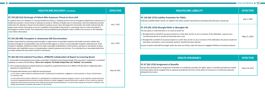| <b>HEALTHCARE DELIVERY (CONTINUED)</b>                                                                                                                                                                                                                                                                                                                                                                                                                                                                                                                                                                                                                                                                                                                                                                                                                                                                                                                                                                                                                                                                                                                                                                                                                                          | <b>EFFECTIVE</b> |
|---------------------------------------------------------------------------------------------------------------------------------------------------------------------------------------------------------------------------------------------------------------------------------------------------------------------------------------------------------------------------------------------------------------------------------------------------------------------------------------------------------------------------------------------------------------------------------------------------------------------------------------------------------------------------------------------------------------------------------------------------------------------------------------------------------------------------------------------------------------------------------------------------------------------------------------------------------------------------------------------------------------------------------------------------------------------------------------------------------------------------------------------------------------------------------------------------------------------------------------------------------------------------------|------------------|
| PC 259 (SB 615) Discharge of Patient Who Expresses Threat to Harm Self<br>If a patient who is an inpatient in a licensed healthcare facility, or seeking services from an emergency department, expresses to a<br>healthcare provider a recent threat or attempt at suicide or infliction of bodily harm to themselves, then the healthcare provider<br>shall enter the attempt or threat into the patient's medical record. Upon discharge from the facility, the facility shall provide the<br>patient with contact information to access a qualified mental health professional or counseling resource unless the patient is<br>discharged to another facility. This requirement may be satisfied by providing this state's mobile crisis services or the statewide<br>crisis hotline information.                                                                                                                                                                                                                                                                                                                                                                                                                                                                           | July 1, 2021     |
| PC 441 (SB 488) Transplant or Anatomical Gift Discrimination<br>Entities responsible for matching anatomical gifts or organ donors to potential recipients and health insurance entities that<br>provide coverage for transplantation may not discriminate against or refuse to serve potential recipients solely because of the<br>recipient's disability. Healthcare entities must make reasonable modifications to their policies, practices or procedures to allow<br>individuals with disabilities access to transplantation-related treatment and services. If an individual has a reasonable belief that<br>an entity violated this law, he/she may file a civil lawsuit.                                                                                                                                                                                                                                                                                                                                                                                                                                                                                                                                                                                                | July 1, 2021     |
| PC 462 (SB 212) Indicted Prescribers, APRN/PA Collaboration & Report to Licensing Board<br>1. A prescriber licensing board must revoke a prescriber's Schedule II prescribing privilege if the prescriber is indicted for a controlled<br>substance or sexual criminal offense. This is not a misprint. The Public Chapter does say "indicted," not convicted.<br>2. The nursing and physician assistant boards are required to suspend the license of an APRN or PA who fails to collaborate with a<br>physician as required by law.<br>3. A hospital administrator must notify the licensing board:<br>a. If an action is taken related to professional ethics, professional incompetence, negligence, moral turpitude, or drug or alcohol abuse<br>of a licensee; and<br>b. Any licensee who has been referred to or participated in a professional assistance program on two or more separate occasions because<br>the person inappropriately prescribed an opioid; diverted an opioid; engaged in sexual activity with a patient; or has a mental or physical<br>impairment that prevents the person from safely practicing the licensed profession. For any licensee reported, the board is entitled to any<br>quality improvement committee information on the licensee. | May 18, 2021     |

■9■

| <b>HEALTHCARE LIABILITY</b>                                                                                                                                                                                                                                                                                                                                                                                                                                                                                                                                                                                                                                        | <b>EFFECTIVE</b> |
|--------------------------------------------------------------------------------------------------------------------------------------------------------------------------------------------------------------------------------------------------------------------------------------------------------------------------------------------------------------------------------------------------------------------------------------------------------------------------------------------------------------------------------------------------------------------------------------------------------------------------------------------------------------------|------------------|
| PC 150 (SB 1275) Liability Protection for FQHCs<br>Federally qualified health centers are added to the state's quality improvement committee (formerly peer review) law.                                                                                                                                                                                                                                                                                                                                                                                                                                                                                           | July 1, 2021     |
| PC 379 (SB 1370) Wrongful Birth or Wrongful Life<br>The law places in Code that there is no cause of action for:<br>1. Wrongful birth on behalf of any person based on a claim that, but for an act or omission of the defendant, a person once<br>conceived would not or should not have been born; and<br>2. Wrongful life on behalf of any person based on a claim that, but for an act or omission of the defendant, the person would not<br>have been conceived or, once conceived, would or should have been aborted.<br>Causes of action could still be brought under the same set of facts under the theory of negligent infliction of emotional distress. | May 11, 2021     |

| <b>HEALTH INSURANCE</b>                                                                                                                                                                                                                                                                                                                 | <b>LEFFECTIVE</b> |
|-----------------------------------------------------------------------------------------------------------------------------------------------------------------------------------------------------------------------------------------------------------------------------------------------------------------------------------------|-------------------|
| PC 67 (SB 1376) Assignment of Benefits<br>Except when dealing with an assignment of benefits to a healthcare provider, the rights, duties, or benefits provided by a health<br>insurance policy may be assigned only as expressly provided by the terms of the policy of insurance or as otherwise expressly<br>allowed by the insurer. | March 29, 2021    |

### 10 **tnmed.org/legislative**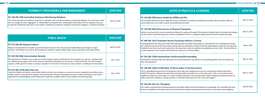| <b>SCOPE OF PRACTICE &amp; LICENSURE</b>                                                                                                                                                                                                                                                                                                                                                                                                                                                                                                                                  | <b>EFFECTIVE</b> |
|---------------------------------------------------------------------------------------------------------------------------------------------------------------------------------------------------------------------------------------------------------------------------------------------------------------------------------------------------------------------------------------------------------------------------------------------------------------------------------------------------------------------------------------------------------------------------|------------------|
| PC 124 (SB 478) Home Health by APRNs and PAs<br>This law adds advanced practice registered nurses and physician assistants as healthcare providers who can place orders for<br>home health care. Such orders may be transmitted electronically.                                                                                                                                                                                                                                                                                                                           | April 13, 2021   |
| PC 130 (SB 584) Direct Access to Physical Therapists<br>Patients now have direct access (no physician referral) to a physical therapist if the physical therapist holds a doctorate level degree,<br>has three years of practice experience, and has completed 15 hours in a program approved by the board of physical therapy.                                                                                                                                                                                                                                           | April 13, 2021   |
| PC 340 (SB 1267) Graduate Nurses Practicing without a License<br>Nursing graduates who have yet to take their licensing exam to practice may practice in a licensed Title 33 or 68 healthcare facility<br>for a maximum period of 120 consecutive calendar days from the date of receipt of the first authorization to take the licensing exam.<br>Graduate nurses must work under supervision, and supervisors may only supervise one graduate nurse at a time. There are limits as<br>to what a graduate nurse may do and what title one may use in a clinical setting. | May 4, 2021      |
| PC 376 (SB 1339) Aestheticians Performing Microneedling<br>Aestheticians working under the supervision of a licensed physician may perform microneedling without fear of discipline by<br>their licensing board.                                                                                                                                                                                                                                                                                                                                                          | May 11, 2021     |
| PC 148 (SB 1266) Certification of Nurse Aides in Nursing Homes<br>This is a grandfathering provision for temporary nurse aides who stepped up to care for nursing home patients during the<br>COVID-19 pandemic. Requires the board for licensing healthcare facilities to, no later than July 1, 2021, permit persons who<br>qualified as temporary nurse aides on or after the beginning date of the national public health emergency declared January 31,<br>2020, to become certified as nursing assistants in this state and be placed on the nurse aide registry.   | April 13, 2021   |
| PC 160 (SB 101) Art Therapists<br>This creates a professional art therapist advisory committee under the board of examiners in psychology. The committee will issue<br>licenses to qualified art therapists and the act sets forth the statutory requirements for licensure, but licensees cannot diagnose.                                                                                                                                                                                                                                                               | April 20, 2021   |

| <b>PHARMACY, PRESCRIBING &amp; PAIN MANAGEMENT</b>                                                                                                                                                                                                                                                                                                                                                                                                                       | <b>EFFECTIVE</b> |
|--------------------------------------------------------------------------------------------------------------------------------------------------------------------------------------------------------------------------------------------------------------------------------------------------------------------------------------------------------------------------------------------------------------------------------------------------------------------------|------------------|
| PC 136 (SB 748) Controlled Substance Monitoring Database<br>This makes amendments relative to data that is reported in the controlled substance monitoring database. The main focus of the<br>bill is to change the word "aggregate" to "deidentified" and specify that, "deidentified information from the database must not<br>include the identifying information of any patient, healthcare practitioner, healthcare practitioner delegate, or healthcare facility." | April 13, 2021   |
| <b>PUBLIC HEALTH</b>                                                                                                                                                                                                                                                                                                                                                                                                                                                     | <b>EFFECTIVE</b> |
|                                                                                                                                                                                                                                                                                                                                                                                                                                                                          |                  |
| PC 157 (SB 20) Vaping Products<br>Requires the department of health to post information from the CDC concerning the health effects and dangers of vapor<br>products. Information must also be disseminated to students in public middle, public junior, and public senior high schools.                                                                                                                                                                                  | April 20, 2021   |
| PC 169 (SB 386) Immunization Records<br>The department of health must accept out-of-state medical records evidencing the immunization of a natural or adopted child<br>of a military parent against each of the diseases required for attendance at any school or child care facility. This will no longer<br>require a child's parent to obtain a medical evaluation for the child in Tennessee in order to obtain a certificate of immunization.                       | July 1, 2021     |
| PC 272 (SB 1259) Safe Stars Act<br>Coaches of public and charter school youth athletic activity must complete an annual concussion recognition and safety course;<br>sudden cardiac arrest education program, CPR training, AED training, and background check. Student participants must return<br>signed forms acknowledging receipt of education material on sudden cardiac arrest symptoms and warning signs.                                                        | July 1, 2021     |

### $11$   $\blacksquare$ **thmed.org/legislative 12**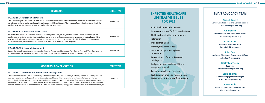| <b>TENNCARE</b>                                                                                                                                                                                                                                                                                                                                                                                                                                                                                                                    | <b>EFFECTIVE</b> |
|------------------------------------------------------------------------------------------------------------------------------------------------------------------------------------------------------------------------------------------------------------------------------------------------------------------------------------------------------------------------------------------------------------------------------------------------------------------------------------------------------------------------------------|------------------|
| PC 186 (SB 1430) Sickle Cell Disease<br>The new law requires the bureau of TennCare to conduct an annual review of all medications and forms of treatment for sickle<br>cell disease, and services for enrollees with a diagnosis of sickle cell disease. The purpose of the review is to determine if the<br>available covered medications, treatments, and services are adequate.                                                                                                                                                | April 20, 2021   |
| PC 197 (SB 574) Substance Abuse Grants<br>Several state executive departments must seek and apply for federal, private, or other available funds, and actively direct<br>available state funds, for the development of recovery programs for Tennessee residents who are pregnant or have children<br>to assist with substance use disorder treatment and wrap-around services to support life skills development in outpatient<br>treatment facilities, in residential treatment facilities, or through home visitation programs. | April 22, 2021   |
| PC 459 (SB 123) Hospital Assessment<br>Enacts the annual hospital assessment creating funds for federal matching through TennCare to "buy back" TennCare benefits<br>such as imaging and office visit limits and to provide funding for graduate medical education among other things.                                                                                                                                                                                                                                             | May 18, 2021     |

## **TMA'S ADVOCACY TEAM**

**Yarnell Beatty Senior Vice President and General Council Yarnell.Beatty@tnmed.org**

**Julie Griffin Vice President of Government Affairs Julie.Griffin@tnmed.org**

> **Karen Baird Director of Insurance Affairs Karen.Baird@tnmed.org**

**John Carr Assistant Director of Government Affairs John.Carr@tnmed.org**

> **Becky Morrissey Paralegal Becky.Morrissey@tnmed.org**

**Erika Thomas Advocacy Engagement Manager Erika.Thomas@tnmed.org**

**Alexa Stole Advocacy Administrative Assistant Alexa.Stole@tnmed.org**

## **EXPECTED HEALTHCARE LEGISLATIVE ISSUES FOR 2022**

• APRN/PA independent practice

• Issues concerning COVID-19 vaccinations

• Childhood vaccination requirements

• Telehealth

• Medical marijuana

• Motorcycle helmet repeal

• Optometrists performing laser procedures

• Repeal of rest of the professional privilege tax

• Budget for state pandemic PPE and equipment arsenal

• Corporate practice of medicine

• Prohibition of physician non-compete agreements (Uniform Law Commission)

| <b>WORKERS' COMPENSATION</b>                                                                                                                                                                                                                                                                                                                                                                                                                                                                                                                                                                                                                                                                                                           |              |
|----------------------------------------------------------------------------------------------------------------------------------------------------------------------------------------------------------------------------------------------------------------------------------------------------------------------------------------------------------------------------------------------------------------------------------------------------------------------------------------------------------------------------------------------------------------------------------------------------------------------------------------------------------------------------------------------------------------------------------------|--------------|
| PC 189 (SB 1285) Workers' Compensation Investigations<br>The bureau administrator is authorized to inspect and investigate the places of employment and pertinent conditions; business<br>records, including complete payroll and tax information; certificates of insurance; sign-in and sign-out sheets for jobsites; and<br>vendor lists if the bureau has reasonable cause to believe that an employer is in violation of the workers' compensation insurance<br>requirements of employers. Subpoenas may be served for witnesses or documents. An employer has 21 days in which to comply<br>with a subpoena. Failure to do so can result in a fine. The bureau has civil penalty power if an employer misclassifies an employee. | July 1, 2021 |